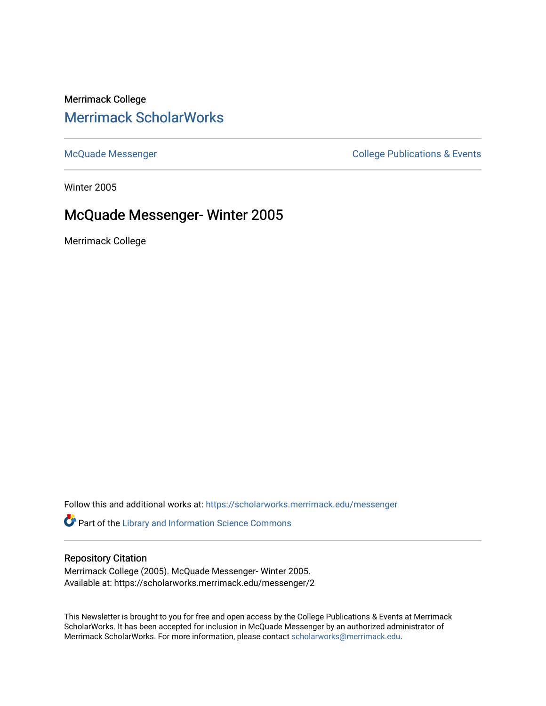# Merrimack College [Merrimack ScholarWorks](https://scholarworks.merrimack.edu/)

[McQuade Messenger](https://scholarworks.merrimack.edu/messenger) College Publications & Events

Winter 2005

# McQuade Messenger- Winter 2005

Merrimack College

Follow this and additional works at: [https://scholarworks.merrimack.edu/messenger](https://scholarworks.merrimack.edu/messenger?utm_source=scholarworks.merrimack.edu%2Fmessenger%2F2&utm_medium=PDF&utm_campaign=PDFCoverPages) 

Part of the [Library and Information Science Commons](http://network.bepress.com/hgg/discipline/1018?utm_source=scholarworks.merrimack.edu%2Fmessenger%2F2&utm_medium=PDF&utm_campaign=PDFCoverPages) 

## Repository Citation

Merrimack College (2005). McQuade Messenger- Winter 2005. Available at: https://scholarworks.merrimack.edu/messenger/2

This Newsletter is brought to you for free and open access by the College Publications & Events at Merrimack ScholarWorks. It has been accepted for inclusion in McQuade Messenger by an authorized administrator of Merrimack ScholarWorks. For more information, please contact [scholarworks@merrimack.edu](mailto:scholarworks@merrimack.edu).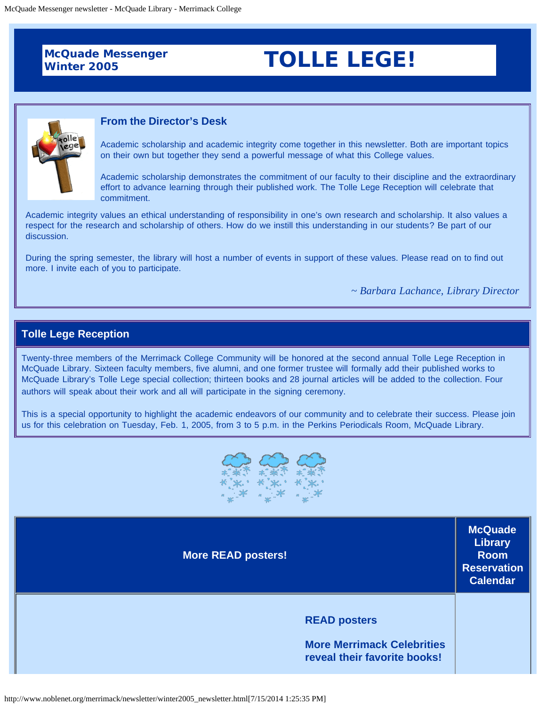**McQuade Messenger** 

# **Winter 2005 TOLLE LEGE!**



#### **From the Director's Desk**

Academic scholarship and academic integrity come together in this newsletter. Both are important topics on their own but together they send a powerful message of what this College values.

Academic scholarship demonstrates the commitment of our faculty to their discipline and the extraordinary effort to advance learning through their published work. The Tolle Lege Reception will celebrate that commitment.

Academic integrity values an ethical understanding of responsibility in one's own research and scholarship. It also values a respect for the research and scholarship of others. How do we instill this understanding in our students? Be part of our discussion.

During the spring semester, the library will host a number of events in support of these values. Please read on to find out more. I invite each of you to participate.

*~ Barbara Lachance, Library Director*

# **Tolle Lege Reception**

Twenty-three members of the Merrimack College Community will be honored at the second annual Tolle Lege Reception in McQuade Library. Sixteen faculty members, five alumni, and one former trustee will formally add their published works to McQuade Library's Tolle Lege special collection; thirteen books and 28 journal articles will be added to the collection. Four authors will speak about their work and all will participate in the signing ceremony.

This is a special opportunity to highlight the academic endeavors of our community and to celebrate their success. Please join us for this celebration on Tuesday, Feb. 1, 2005, from 3 to 5 p.m. in the Perkins Periodicals Room, McQuade Library.



| <b>More READ posters!</b>                                                                | <b>McQuade</b><br>Library<br><b>Room</b><br><b>Reservation</b><br><b>Calendar</b> |
|------------------------------------------------------------------------------------------|-----------------------------------------------------------------------------------|
| <b>READ posters</b><br><b>More Merrimack Celebrities</b><br>reveal their favorite books! |                                                                                   |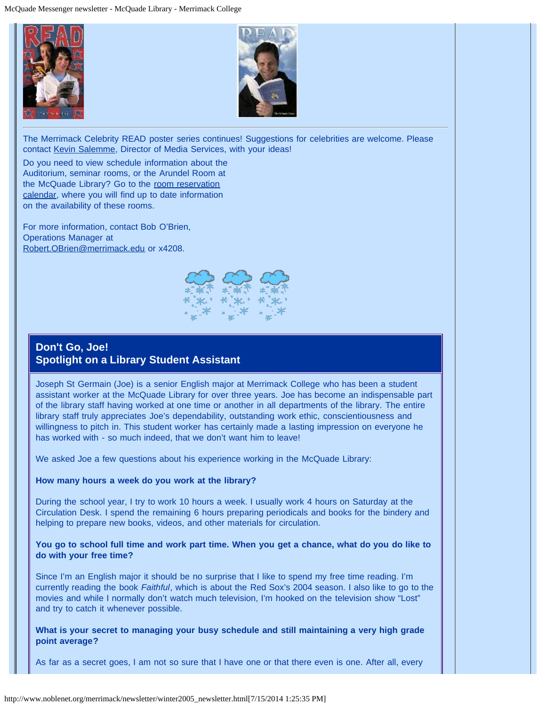



The Merrimack Celebrity READ poster series continues! Suggestions for celebrities are welcome. Please contact [Kevin Salemme](mailto:kevin.salemme@Merrimack.edu), Director of Media Services, with your ideas!

Do you need to view schedule information about the Auditorium, seminar rooms, or the Arundel Room at the McQuade Library? Go to the [room reservation](http://www.noblenet.org/cgi-bin/Calcium/merrimack_reservation) [calendar,](http://www.noblenet.org/cgi-bin/Calcium/merrimack_reservation) where you will find up to date information on the availability of these rooms.

For more information, contact Bob O'Brien, Operations Manager at [Robert.OBrien@merrimack.edu](mailto:%20Robert.OBrien@merrimack.edu) or x4208.



# **Don't Go, Joe! Spotlight on a Library Student Assistant**

Joseph St Germain (Joe) is a senior English major at Merrimack College who has been a student assistant worker at the McQuade Library for over three years. Joe has become an indispensable part of the library staff having worked at one time or another in all departments of the library. The entire library staff truly appreciates Joe's dependability, outstanding work ethic, conscientiousness and willingness to pitch in. This student worker has certainly made a lasting impression on everyone he has worked with - so much indeed, that we don't want him to leave!

We asked Joe a few questions about his experience working in the McQuade Library:

#### **How many hours a week do you work at the library?**

During the school year, I try to work 10 hours a week. I usually work 4 hours on Saturday at the Circulation Desk. I spend the remaining 6 hours preparing periodicals and books for the bindery and helping to prepare new books, videos, and other materials for circulation.

**You go to school full time and work part time. When you get a chance, what do you do like to do with your free time?**

Since I'm an English major it should be no surprise that I like to spend my free time reading. I'm currently reading the book *Faithful*, which is about the Red Sox's 2004 season. I also like to go to the movies and while I normally don't watch much television, I'm hooked on the television show "Lost" and try to catch it whenever possible.

**What is your secret to managing your busy schedule and still maintaining a very high grade point average?**

As far as a secret goes, I am not so sure that I have one or that there even is one. After all, every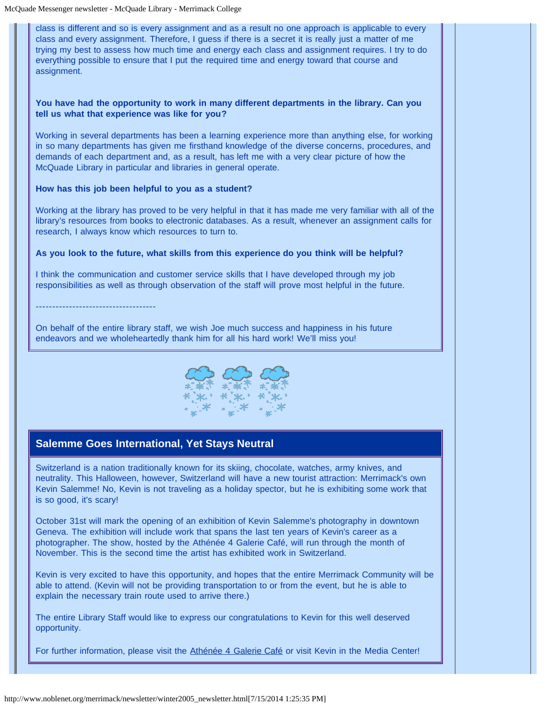class is different and so is every assignment and as a result no one approach is applicable to every class and every assignment. Therefore, I guess if there is a secret it is really just a matter of me trying my best to assess how much time and energy each class and assignment requires. I try to do everything possible to ensure that I put the required time and energy toward that course and assignment.

#### **You have had the opportunity to work in many different departments in the library. Can you tell us what that experience was like for you?**

Working in several departments has been a learning experience more than anything else, for working in so many departments has given me firsthand knowledge of the diverse concerns, procedures, and demands of each department and, as a result, has left me with a very clear picture of how the McQuade Library in particular and libraries in general operate.

#### **How has this job been helpful to you as a student?**

Working at the library has proved to be very helpful in that it has made me very familiar with all of the library's resources from books to electronic databases. As a result, whenever an assignment calls for research, I always know which resources to turn to.

#### **As you look to the future, what skills from this experience do you think will be helpful?**

I think the communication and customer service skills that I have developed through my job responsibilities as well as through observation of the staff will prove most helpful in the future.

------------------------------------

On behalf of the entire library staff, we wish Joe much success and happiness in his future endeavors and we wholeheartedly thank him for all his hard work! We'll miss you!



# **Salemme Goes International, Yet Stays Neutral**

Switzerland is a nation traditionally known for its skiing, chocolate, watches, army knives, and neutrality. This Halloween, however, Switzerland will have a new tourist attraction: Merrimack's own Kevin Salemme! No, Kevin is not traveling as a holiday spector, but he is exhibiting some work that is so good, it's scary!

October 31st will mark the opening of an exhibition of Kevin Salemme's photography in downtown Geneva. The exhibition will include work that spans the last ten years of Kevin's career as a photographer. The show, hosted by the Athénée 4 Galerie Café, will run through the month of November. This is the second time the artist has exhibited work in Switzerland.

Kevin is very excited to have this opportunity, and hopes that the entire Merrimack Community will be able to attend. (Kevin will not be providing transportation to or from the event, but he is able to explain the necessary train route used to arrive there.)

The entire Library Staff would like to express our congratulations to Kevin for this well deserved opportunity.

For further information, please visit the [Athénée 4 Galerie Café](http://www.athenee4.ch/) or visit Kevin in the Media Center!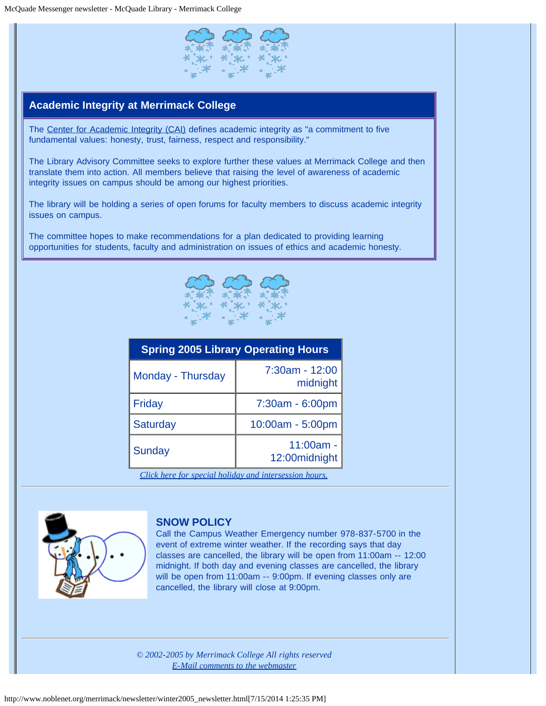

# **Academic Integrity at Merrimack College**

The [Center for Academic Integrity \(CAI\)](http://www.academicintegrity.org/) defines academic integrity as "a commitment to five fundamental values: honesty, trust, fairness, respect and responsibility."

The Library Advisory Committee seeks to explore further these values at Merrimack College and then translate them into action. All members believe that raising the level of awareness of academic integrity issues on campus should be among our highest priorities.

The library will be holding a series of open forums for faculty members to discuss academic integrity issues on campus.

The committee hopes to make recommendations for a plan dedicated to providing learning opportunities for students, faculty and administration on issues of ethics and academic honesty.



| <b>Spring 2005 Library Operating Hours</b>            |                               |  |
|-------------------------------------------------------|-------------------------------|--|
| Monday - Thursday                                     | 7:30am - 12:00<br>midnight    |  |
| Friday                                                | 7:30am - 6:00pm               |  |
| <b>Saturday</b>                                       | 10:00am - 5:00pm              |  |
| Sunday                                                | $11:00am -$<br>12:00 midnight |  |
| Click here for special holiday and intersession hours |                               |  |

*[Click here for special holiday and intersession hours.](http://www.noblenet.org/merrimack/newsletter/hours2.htm)*



### **SNOW POLICY**

Call the Campus Weather Emergency number 978-837-5700 in the event of extreme winter weather. If the recording says that day classes are cancelled, the library will be open from 11:00am -- 12:00 midnight. If both day and evening classes are cancelled, the library will be open from 11:00am -- 9:00pm. If evening classes only are cancelled, the library will close at 9:00pm.

*© 2002-2005 by Merrimack College All rights reserved [E-Mail comments to the webmaster](mailto:bridget.rawding@merrimack.edu)*